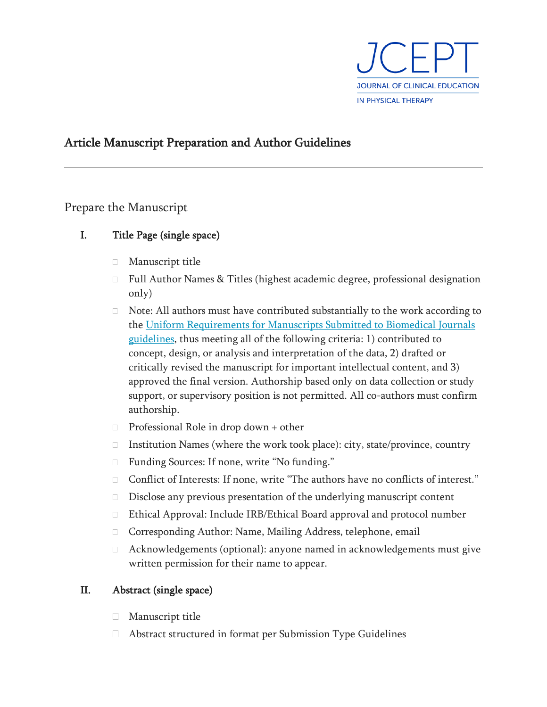

# Article Manuscript Preparation and Author Guidelines

## Prepare the Manuscript

- I. Title Page (single space)
	- Manuscript title
	- Full Author Names & Titles (highest academic degree, professional designation only)
	- $\Box$  Note: All authors must have contributed substantially to the work according to the [Uniform Requirements for Manuscripts Submitted to Biomedical Journals](http://www.icmje.org/about-icmje/faqs/icmje-recommendations/)  [guidelines,](http://www.icmje.org/about-icmje/faqs/icmje-recommendations/) thus meeting all of the following criteria: 1) contributed to concept, design, or analysis and interpretation of the data, 2) drafted or critically revised the manuscript for important intellectual content, and 3) approved the final version. Authorship based only on data collection or study support, or supervisory position is not permitted. All co-authors must confirm authorship.
	- $\Box$  Professional Role in drop down + other
	- □ Institution Names (where the work took place): city, state/province, country
	- □ Funding Sources: If none, write "No funding."
	- □ Conflict of Interests: If none, write "The authors have no conflicts of interest."
	- $\square$  Disclose any previous presentation of the underlying manuscript content
	- Ethical Approval: Include IRB/Ethical Board approval and protocol number
	- □ Corresponding Author: Name, Mailing Address, telephone, email
	- □ Acknowledgements (optional): anyone named in acknowledgements must give written permission for their name to appear.

### II. Abstract (single space)

- **Manuscript title**
- Abstract structured in format per Submission Type Guidelines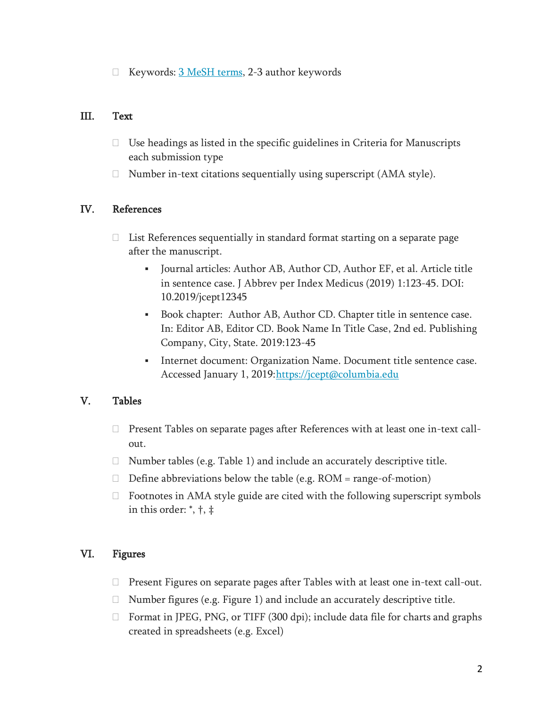$\Box$  Keywords:  $3$  MeSH terms, 2-3 author keywords

#### III. Text

- $\Box$  Use headings as listed in the specific guidelines in Criteria for Manuscripts each submission type
- $\Box$  Number in-text citations sequentially using superscript (AMA style).

### IV. References

- $\Box$  List References sequentially in standard format starting on a separate page after the manuscript.
	- Journal articles: Author AB, Author CD, Author EF, et al. Article title in sentence case. J Abbrev per Index Medicus (2019) 1:123-45. DOI: 10.2019/jcept12345
	- Book chapter: Author AB, Author CD. Chapter title in sentence case. In: Editor AB, Editor CD. Book Name In Title Case, 2nd ed. Publishing Company, City, State. 2019:123-45
	- **•** Internet document: Organization Name. Document title sentence case. Accessed January 1, 2019[:https://jcept@columbia.edu](https://jcept@columbia.edu/)

### V. Tables

- Present Tables on separate pages after References with at least one in-text callout.
- $\Box$  Number tables (e.g. Table 1) and include an accurately descriptive title.
- $\Box$  Define abbreviations below the table (e.g. ROM = range-of-motion)
- $\Box$  Footnotes in AMA style guide are cited with the following superscript symbols in this order: \*, †, ‡

### VI. Figures

- $\Box$  Present Figures on separate pages after Tables with at least one in-text call-out.
- $\Box$  Number figures (e.g. Figure 1) and include an accurately descriptive title.
- $\Box$  Format in JPEG, PNG, or TIFF (300 dpi); include data file for charts and graphs created in spreadsheets (e.g. Excel)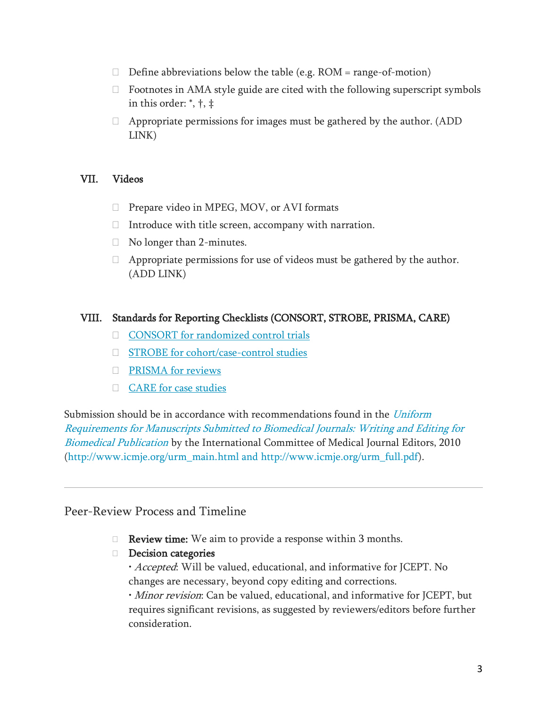- $\Box$  Define abbreviations below the table (e.g. ROM = range-of-motion)
- $\Box$  Footnotes in AMA style guide are cited with the following superscript symbols in this order: \*, †, ‡
- $\Box$  Appropriate permissions for images must be gathered by the author. (ADD LINK)

#### VII. Videos

- $\Box$  Prepare video in MPEG, MOV, or AVI formats
- $\Box$  Introduce with title screen, accompany with narration.
- □ No longer than 2-minutes.
- $\Box$  Appropriate permissions for use of videos must be gathered by the author. (ADD LINK)

#### VIII. Standards for Reporting Checklists (CONSORT, STROBE, PRISMA, CARE)

- [CONSORT for randomized control trials](http://www.consort-statement.org/)
- □ [STROBE for cohort/case-control studies](https://www.strobe-statement.org/index.php?id=available-checklists)
- **PRISMA** for reviews
- [CARE for case studies](http://www.care-statement.org/resources/checklist)

Submission should be in accordance with recommendations found in the Uniform Requirements for Manuscripts Submitted [to Biomedical Journals: Writing and Editing for](http://www.icmje.org/)  [Biomedical Publication](http://www.icmje.org/) by the International Committee of Medical Journal Editors, 2010 [\(http://www.icmje.org/urm\\_main.html and http://www.icmje.org/urm\\_full.pdf\)](http://www.icmje.org/urm_main.html%20and%20http:/www.icmje.org/urm_full.pdf).

### Peer-Review Process and Timeline

- $\Box$  **Review time:** We aim to provide a response within 3 months.
- Decision categories
	- Accepted: Will be valued, educational, and informative for JCEPT. No changes are necessary, beyond copy editing and corrections.

• *Minor revision*: Can be valued, educational, and informative for JCEPT, but requires significant revisions, as suggested by reviewers/editors before further consideration.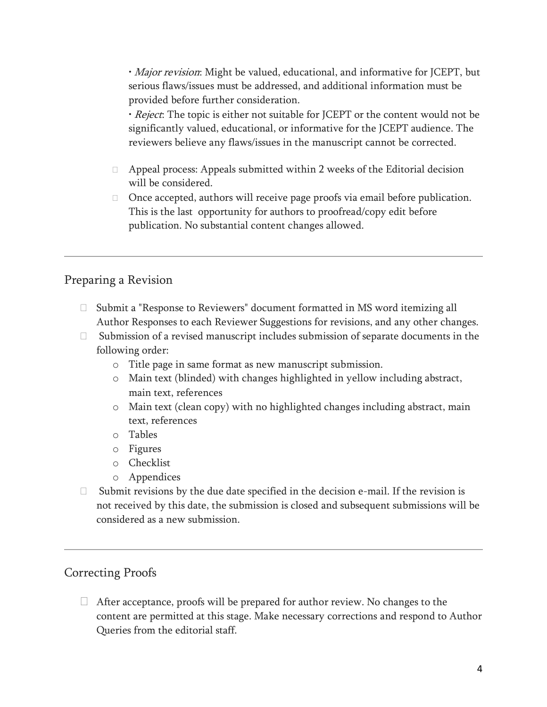• *Major revision*: Might be valued, educational, and informative for JCEPT, but serious flaws/issues must be addressed, and additional information must be provided before further consideration.

• Reject: The topic is either not suitable for JCEPT or the content would not be significantly valued, educational, or informative for the JCEPT audience. The reviewers believe any flaws/issues in the manuscript cannot be corrected.

- $\Box$  Appeal process: Appeals submitted within 2 weeks of the Editorial decision will be considered.
- $\Box$  Once accepted, authors will receive page proofs via email before publication. This is the last opportunity for authors to proofread/copy edit before publication. No substantial content changes allowed.

## Preparing a Revision

- $\Box$  Submit a "Response to Reviewers" document formatted in MS word itemizing all Author Responses to each Reviewer Suggestions for revisions, and any other changes.
- $\Box$  Submission of a revised manuscript includes submission of separate documents in the following order:
	- o Title page in same format as new manuscript submission.
	- o Main text (blinded) with changes highlighted in yellow including abstract, main text, references
	- o Main text (clean copy) with no highlighted changes including abstract, main text, references
	- o Tables
	- o Figures
	- o Checklist
	- o Appendices
- $\Box$  Submit revisions by the due date specified in the decision e-mail. If the revision is not received by this date, the submission is closed and subsequent submissions will be considered as a new submission.

# Correcting Proofs

 $\Box$  After acceptance, proofs will be prepared for author review. No changes to the content are permitted at this stage. Make necessary corrections and respond to Author Queries from the editorial staff.